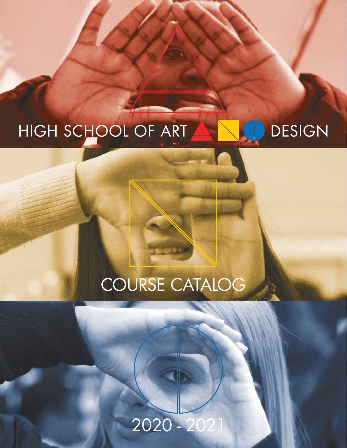## **DESIGN** HIGH SCHOOL OF ART

# COURSE CATALOG

# 2020 - 2021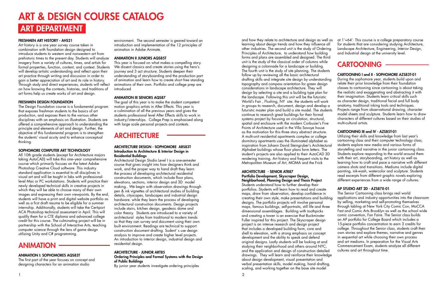### FRESHMEN ART HISTORY - AHS21

Art history is a one year survey course taken in combination with foundation design designed to introduce students to western and nonwestern art from prehistoric times to the present day. Students will analyze imagery from a variety of cultures, times, and artists for formal properties, function, content, and context. Students will develop artistic understanding and reflect upon their art practice through writing and discussion in order to gain a better appreciation of art and its role in history. Through study and direct experiences, students will reflect on how knowing the contexts, histories, and traditions of art forms help us create works of art and design.

All 10th grade students (except for Architecture majors taking AutoCAD) will take this one–year comprehensive course which primarily focuses on the latest Adobe Photoshop Creative Cloud software. This industry standard application is essential to all disciplines in visual art and will be taught in labs with professionallevel Mac or PC workstations. Students will practice their newly developed technical skills in creative projects in which they will be able to choose many of their own images and expressing their own viewpoints. By the end, students will have a print and digital website portfolio as well as a first draft resume to be eligible for a summer internship. Additionally, students will take the Certiport ACA Photoshop technical assessment in April. This will qualify them for a CTE diploma and advanced college credit for this course. The culminating project will be in partnership with the School of Interactive Arts, teaching computer science through the lens of game design utilizing Unity and C# programming.

### FRESHMEN DESIGN FOUNDATION

The Design Foundation course is a fundamental program that exposes freshman students to the basics of art production, and exposes them to the various other disciplines with an emphasis on illustration. Students are offered a comprehensive approach to understanding the principle and elements of art and design. Further, the objective of this fundamental program is to strengthen the students' visual acuity and to enhance conceptual thinking.

### SOPHOMORE COMPUTER ART TECHNOLOGY

## ANIMATION

### ANIMATION I: SOPHOMORES AQS83T

and how they relate to architecture and design as well as learning about design trends and how they influence all other industries. The second unit is the study of Ordering Principles of Architecture, to understand how building forms and plans are assembled and designed. The third unit is the study of the classical order of columns while designing a colonnade for a landscape or building. The fourth unit is the study of site planning. The students follow up by reviewing all the basic architectural drafting skills and integrate site design by understanding topography and compass orientation for green design considerations in landscape architecture. They will design by selecting a site and a building type plan for the landscape. Following this unit will be the futuristic World's Fair , Flushing, NY site. the students will work in groups to research, document, design and develop a futuristic master plan and build a site model. The students continue to research great buildings for their formal systems project by focusing on circulation, structural, spatial and enclosure with the modern Corbusier's Five Points of Architecture used in the Villa Savoye house as the motivation for this three story abstract structure. A multi-unit residential apartments complex or college dormitory apartments uses the illuminated alphabet as inspiration from Johann David Steingruber's Architectural Alphabet buildings whose floor plans form letters. The student's projects are also applied to their AutoCAD 3D rendering training. Art history and frequent visits to the Metropolitan Museum of Art, MOMA and the Frick ARCHITECTURE - SENIOR ATR87 Portfolio Development, Skyscraper Design, Neighborhood, Planning Design and Thesis Project at 1'=64'. This course is a college preparatory course for students that are considering studying Architecture, Landscape Architecture, Engineering, Interior Design, and Industrial design at the university level. CARTOONING CARTOONING I and II - SOPHOMORE AZS83T-01 During the sophomore year, students build upon and relate their prior knowledge from their foundation classes to cartooning since cartooning is about taking the realistic and exaggerating and abstracting it with their imagination. Students learn critical skills such as character design, traditional facial and full body anatomy, traditional inking tools and techniques. Projects range from observational drawing, character model sheets and sculpture. Students learn how to draw characters of different cultures based on their studies of multi-cultural artists. CARTOONING III and IV - AZS85T-01 Utilizing their skills and knowledge from last year's cartooning class and their computer technology class, students explore new media and various forms of storytelling and narrative in the junior cartooning class. Students explore responding to the world around them with their art, storyboarding, art history as well as learning how to craft and pace a narrative with different camera shots and transitions. Mediums include digital painting, ink-wash, watercolor and sculpture. Students read excerpts from different graphic novels exploring different experiences from a wide range of cultures.

The first part of the year focuses on concept and designing characters for an animation studio

environment. The second semester is geared toward an introduction and implementation of the 12 principles of animation in Adobe Animate.

### ANIMATION II JUNIORS AQS85T

This year is focused on what makes a compelling story. We dissect classics and create stories using the hero's journey and 3 act structure. Students deepen their understanding of storyboarding and the production part of animation and learn how to create short free standing animations of their own. Portfolio and college prep are introduced

### ANIMATION III SENIORS AQS87

The goal of this year is to make the student competent motion graphics artists in After Effects. This year is a culmination of all the previous years and gives the students professional level After Effects skills to work in industry/internships. College Prep is emphasised along with large scale personal projects and contests.

# **ARCHITECTURE**

### ARCHITECTURE DESIGN - SOPHOMORE ARS83T Introduction to Architecture & Interior Design in Residential Buildings

Architectural Design Studio Level I is a one-semester course that gives insight into how designers think and work, and the proper way to hand draft they learn the process of developing architectural residential construction documents, which include floor plans, elevations, sections, interior design and 3D model making.. We begin with observation drawings through pen & ink vignettes of architectural studies of building details, cityscapes, landscapes and industrial design hardware. while they learn the process of developing architectural construction documents. Design projects include stairs, kitchen design, geodesic dome and color theory. Students are introduced to a variety of architectural styles from traditional to modern trends so that they can survey and document using their own built environment. Readings are technical to support construction document drafting. Sudent' s use design analysis to improve and create higher level projects. An introduction to interior design, industrial design and residential design.

### ARCHITECTURE - JUNIOR ART85

Ordering Principles and Formal Systems with the Design of Public Buildings

By junior year students investigate ordering principles

# ART & DESIGN COURSE CATALOG ART DEPARTMENT

Students understand how to further develop their portfolios. Students will learn how to read and create maps, draw from observation, develop confidence in creating their own style, make presentations and building designs. The portfolio projects will involve personal maps, famous buildings, self-portraits, still life and three dimensional assemblages. Building with toothpicks and creating a tower is an exercise that Buckminster Fuller inspired for this project. The Skyscraper design project is an intense research and design project that includes a developed building form, core and shell to elevation, with a strong emphasis on concept development and the ability to speak and defend original designs. Lastly students will be looking at and studying their neighborhood and others around NYC, and the application and design of construction detailed drawings. They will learn and reinforce their knowledge about design development, visual presentation and verbal presentation skills, model making, hand drafting, scaling, and working together on the base site model AP STUDIO ART 2D - AZS87X-01 The Senior Cartooning class brings real world applications and industry opportunities into the classroom by selling, marketing and self-promoting themselves through tabling at New York City Comic Con, MoCCA Fest and Comic Arts Brooklyn as well as the school wide comic convention, Fan Faire. The Senior class builds an AP portfolio for College Board which includes a 15-piece portfolio concentration to earn 3 credits for college. Throughout the Senior class, students craft their own stories and explore themes, narrative and genres in sequential art while choosing their own process and art mediums. In preparation for the Visual Arts Commencement Exam, students analyze all different cultures and art throughout time.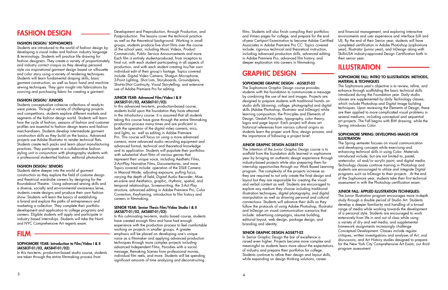films. Students will also finish compiling their portfolios and Vimeo pages for college, and prepare for the endof-year Certiport Examination to become Adobe Certified Associates in Adobe Premiere Pro CC. Topics covered include: rigorous technical and theoretical instruction, including advanced production skills, advanced editing in Adobe Premiere Pro, advanced film history, and deeper exploration into careers in filmmaking.

## GRAPHIC DESIGN

## SOPHOMORE GRAPHIC DESIGN - AGS83T-02

The Sophomore Graphic Design course provides students with the foundation to communicate a message by combining the use of text and images. Projects are designed to prepare students with traditional hands- on studio skills (drawing, collage, photography) and digital skills (Adobe Photoshop, Illustrator and InDesign) while learning composition, the Principles and Elements of Design, Gestalt Principles, typography, color theory, logos and page layout. Each project will draw art historical references from various cultural origins as students learn the proper work flow, design process, and the importance of following a project brief.

of industry and prepare their portfolios for college. Students continue to refine their design and layout skills, while expanding on design thinking solutions, career

and financial management, and exploring interactive environments and user experience and interface (UX and UI). By the end of their Senior year, students will have completed certification in Adobe Photoshop (sophomore year), Illustrator (junior year), and InDesign along with SkillsUSA industry-approved Design Certification both in

their senior year. ILLUSTRATION

## SOPHOMORE FALL: INTRO TO ILLUSTRATION: METHODS, MATERIAL & TECHNIQUES

JUNIOR GRAPHIC DESIGN AGS85T-02 The intention of the Junior Graphic Design course is to scaffold from the foundation skills learned in sophomore year by bringing an authentic design experience through industry-based projects while also preparing them for internship opportunities through our Work Based Learning program. The complexity of the projects increase as they are required to not only create the final design and layout but they are responsible for creating the visual and verbal content as well. Students are encouraged to explore any medium they choose including traditional illustration techniques, digital photography, and digital manipulation as well as drawing personal and cultural connections. Students will advance their skills as they follow the protocols of using Adobe Photoshop, Illustrator and InDesign on visual communication scenarios that include: advertising campaigns, résumé building, editorial layout, web design, package design, and branding and identity. SENIOR GRAPHIC DESIGN AGS87T-02 In Senior Graphic Design the bar of excellence is raised even higher. Projects become more complex and meaningful as students learn more about the expectations The Spring semester focuses on visual communication and developing concepts while exercising and enhancing technical skills in using Color. Materials introduced include, but are not limited to, pastel, watercolor, oil and/or acrylic paint, and digital media. Technology classes continue training in Photoshop and students are encouraged to utilize and integrate Digital programs such as InDesign to their projects . At the end of the Sophomore year, students take their first technical assessment in with the Photoshop certification exam. JUNIOR FALL: APPLIED ILLUSTRATION TECHNIQUES: The Junior Illustration program encourages more in-depth study through a double period of Studio Art. Students develop a deeper familiarity and handling of a broad range of media while working towards the development of a personal style. Students are encouraged to work extensively from life in and out of class while using a variety of dry and wet media, and supplemental homework assignments increasingly challenge Conceptual Development. Classes include regular critiques, written investigations and analyses of Art, oral discussions, and Art History studies designed to prepare for the New York City Comprehensive Art Exam, our third program assessment.

The Sophomore year's objective is to review, refine, and enhance through scaffolding the basic technical skills introduced during the Foundation year. Daily studio classes are supplemented by daily Technology classes, which include Photoshop and Digital Image building

techniques. Upon reviewing the Elements of Design, these are then applied to more complicated visual problems in several mediums, including conceptual and sequential art projects. The Fall begins with BW drawing, while the Spring introduces Color.

## SOPHOMORE SPRING: DEVELOPING IMAGES FOR ILLUSTRATION

# FASHION DESIGN

### FASHION DESIGN/ SOPHOMORES

Students are introduced to the world of fashion design by developing a visual index and fashion industry language & terminology. Students will practice life drawing for fashion designers. They create a variety of proportionately and industry correct croquis as they develop personal style via inspirational garment design based on silhouette and color story using a variety of rendering techniques. Students will learn fundamental draping skills, basic garment construction, as well as basic hand and machine sewing techniques. They gain insight into fabrications by sourcing and purchasing fabric for creating a garment.

### FASHION DESIGN/ JUNIORS

Students conceptualize cohesive collections of ready-to wear pieces. Through a variety of challenging projects and competitions, students explore different markets and segments of the fashion design world. Students will learn how the cycle of fashion, seasons of fashion and customer profiles are essential to fashion design teams and fashion merchandisers. Students develop intermediate garment construction skills as they build on the basics. Advanced projects use Adobe Illustrator to render technical flats. Students create tech packs and learn about manufacturing practices. They participate in a collaborative fashion styling unit in conjunction with photography students with a professional student-led fashion editorial photoshoot.

### FASHION DESIGN/ SENIORS

Students delve deeper into the world of garment construction as they explore the field of costume design and theatrical wardrobe careers by designing for the Roundabout Theatre. Using advanced sewing skills and a diverse, socially and environmental awareness lense, students create designs and produce their own fashion show. Students will learn the basics of establishing a brand and explore the paths of entrepreneurs and marketing a collection. They complete their portfolio development and application to college programs and careers. Eligible students will apply and participate in industry based internships. Students will take the Nocti and NYC Comprehensive Art regents exam.

## FILM

## SOPHOMORE YEAR: Introduction to Film/Video I & II (AKS83T-01/02, AKS84T-01/02):

In this two-term, production-based studio course, students are taken through the entire filmmaking process from

Development and Preproduction, through Production, and Postproduction. The lessons cover the technical practice as well as the theoretical background. Working in small groups, students produce five short films over the course of the school year, including Music Videos, Product Commercials, Public Service Announcements and more. Each film is entirely student-produced, from inception to final cut, with each student participating in all aspects of production, and with each student creating his/her own individual edit of their group's footage. Topics covered include: Digital Video Camera, Shotgun Microphone, 3-Point Lighting, Shot Lists, Storyboards, Groundplans, Shot-to-Shot Continuity, Visual Storytelling, and extensive use of Adobe Premiere Pro for editing.

### JUNIOR YEAR: Advanced Film/Video I & II (AKS85T-01/02, AKS86T-01/02):

In this advanced two-term, production-based course, students build upon the foundation they have attained in the introductory course. It is assumed that all students taking this course have gone through the entire filmmaking production process many times and are proficient in both the operation of the digital video camera, mics, and lights, as well as editing in Adobe Premiere Pro. This course will focus on using a more advanced camera, more advanced audio recording equipment and advanced formal, technical and theoretical knowledge and its application. Students will populate their portfolios with substantial short films of various genres that represent their unique voice, including Aesthetic Films, 3-Act-Play Narrative Films, Documentaries, and more. Topics covered include: operation of the DSLR Camera in Manual Mode, adjusting exposure, pulling focus, varying the depth of field, Digital Audio Recorder, Miseen-scène and Aesthetics, graphic, rhythmic, spatial, and temporal relationships, Screenwriting, the 3-Act Play structure, advanced editing in Adobe Premiere Pro, Color Correction, Keyframing, introduction to film history and careers in filmmaking.

## SENIOR YEAR: Senior Thesis Film/Video Studio I & II (AKS87T-01/02, AKS88T-01/02):

In this culminating two-term, studio based course, students have created enough films and have had enough experience with the production process to feel comfortable working on projects in smaller groups. A greater emphasis will be placed on developing one's unique voice as a filmmaker and applying advanced production techniques through more complex projects including advanced Independent Films, Parodies with a social message, Remaking Scenes from professional movies, individual film reels, and more. Students will be spending significant amounts of time analyzing and deconstructing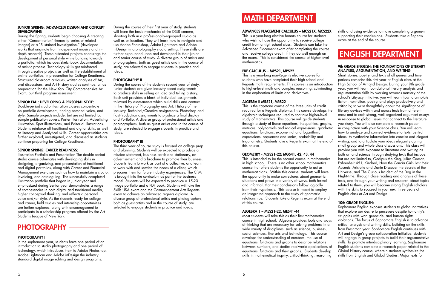### JUNIOR SPRING: (ADVANCED) DESIGN AND CONCEPT DEVELOPMENT:

During the Spring, students begin choosing & creating either "Concentration" themes (a series of related images) or a "Sustained Investigation," (developed works that originate from Independent inquiry and indepth research). These extended projects encourage the development of personal style while building towards a portfolio, which includes sketchbook documentation of artistic process. Technology skills get reinforced through creative projects as well as the establishment of online portfolios, in preparation for College Readiness. Structured classroom critiques, written analyses of Art, oral discussions, and Art History studies continue, all as preparation for the New York City Comprehensive Art Exam, our third program assessment.

## SENIOR FALL: DEVELOPING A PERSONAL STYLE:

Double-period studio illustration classes concentrate on portfolio development, finding personal voice, and style. Sample projects include, but are not limited to, sample publication covers, Poster illustration, Advertising illustration, Spot illustrations, and Editorial illustrations. Students reinforce all traditional and digital skills, as well as literacy and Analytical skills. Career opportunities are further explored, investigated, and discussed as students continue preparing for College Readiness.

### SENIOR SPRING: CAREER READINESS:

Illustration Portfolio and Presentation The double-period studio course culminates with developing skills in designing, organizing, and presentation of traditional and digital portfolios, along with Career and Financial Management exercises such as how to maintain a studio, invoicing, and cataloguing. The successfully completed Illustration portfolio that began in Junior year and emphasized during Senior year demonstrates a range of competencies in both digital and traditional media, higher conceptual thinking, and reflects a personal voice and/or style. As the students ready for college and career, field studies and internship opportunities are further explored, along with encouragement to participate in a scholarship program offered by the Art Students League of New York.

The third year of course study is focused on college prep and planning. Students will be expected to produce a mission statement, business cards and stationary, an advertisement and a brochure to promote their business. Students learn to work as part of a collective, and learn to work with and service the needs of a client, which prepares them for future industry experiences. The CFM is brought into the curriculum as part of the business model. Students will be expected to produce a 15-20 image portfolio and a PDF book. Students will take the Skills USA exam and the Commencement Arts Regents exam to achieve an advanced regents diploma. A diverse group of professional artists and photographers, both as guest artists and in the course of study, are selected to engage students in practice and ideas.

# PHOTOGRAPHY —————

## PHOTOGRAPHY I

In the sophomore year, students have one period of an introduction to studio photography and one period of technology, which introduces them to Adobe Photoshop, Adobe Lightroom and Adobe inDesign the industry standard digital image editing and design programs.

### During the course of their first year of study, students will learn the basic mechanics of the DSLR camera, shooting both in a professionally-equipped studio as well as on-location. They will learn how to navigate and use Adobe Photoshop, Adobe Lightroom and Adobe inDesign in a photography studio setting. These skills are further expounded upon and developed in their junior and senior course of study. A diverse group of artists and photographers, both as guest artists and in the course of study, are selected to engage students in practice and ideas.

## PHOTOGRAPHY II

During the course of the students second year of study, junior students are given industry-based assignments to produce skills in selling an idea and telling a story. Each unit provides a block of individual assignments followed by assessments which build skills and context in the History of Photography and Art, History of the Industry, Technical/Creative assignments, Photoshop and Post-Production assignments to produce a final display and Portfolio. A diverse group of professional artists and photographers, both as guest artists and in the course of study, are selected to engage students in practice and ideas.

## PHOTOGRAPHY III

## PRE-CALCULUS – MPS21, MPS22

algebraic techniques required to continue higher-level study of mathematics. This course will guide students through a study of linear equations, inequalities, graphs, matrices, polynomials and radical expressions, quadratic equations, functions, exponential and logarithmic expressions, sequences and series, probability and trigonometry. Students take a Regents exam at the end of this course.

## GEOMETRY - MGS21-22; MGS41, 42, 43, 44

This is intended to be the second course in mathematics in high school. There is no other school mathematics course that offers students the opportunity to act as mathematicians. Within this course, students will have the opportunity to make conjectures about geometric situations and prove in a variety of ways, both formal and informal, that their conclusions follow logically from their hypothesis. This course is meant to employ an integrated approach to the study of geometric relationships. Students take a Regents exam at the end of this course.

This is a year-long non-Regents elective course for students who have completed their high school and Regents math requirements. This course is an introduction to higher-level math and complex reasoning, culminating in the exploration of limits and derivatives. ALGEBRA II MRS21, MRS22 This is the capstone course of the three units of credit required for a Regents diploma. This course develops the Short stories, poetry, and texts of all genres and time periods comprise this first year of English class at the High School of Art and Design. During your 9th grade year, you will learn foundational literary analysis and argumentation skills by working towards mastery of the school's Literacy Initiative: you will learn how to annotate fiction, nonfiction, poetry, and plays productively and critically; to write thoughtfully about the significance of literary devices within and across texts from different

## ALGEBRA 1 – MES21-22, MES41-44

ADVANCES PLACEMENT CALCULUS – MCS21X, MCS22X This is a year-long elective honors course for students who wish to have the opportunity to receive college credit from a high school class. Students can take the Advanced Placement exam after completing the course and receive college credit, if they do well enough on the exam. This is considered the course of higher-level mathematics. skills and using evidence to make completing argument supporting their conclusions. Students take a Regents exam at the end of the course. ENGLISH DEPARTMENT

## 9th GRADE ENGLISH: THE FOUNDATIONS OF LITERARY ANALYSIS, ARGUMENTATION, AND WRITING

Most students will take this as their first mathematics course in high school. Algebra provides tools and ways of thinking that are necessary for solving problems in a wide variety of disciplines, such as science, business, social sciences, fine arts and technology. This course develops the understanding of numbers, the use of equations, functions and graphs to describe relations between numbers, and studies real-world applications of equations, functions and their graphs. Students develop skills in mathematical inquiry, critical-thinking, reasoning Sophomore English exposes students to global narratives that explore our desire to persevere despite humanity's struggles with war, genocide, and human rights violations. The focus of Sophomore English is to advance critical analysis and writing skills, building on the skills from Freshman year. Sophomore English continues with Art and Design's group collaboration initiative; students will engage in group projects to build their argumentative skills. To promote interdisciplinary learning, Sophomore English students complete a research paper related to the Global History course, wherein students synthesize the skills from English and Global Studies. Major texts for

- eras; and to craft strong, well organized argument essays in response to global issues that connect to the literature you study. You will also complete a research paper
- in conjunction with your Science class. You will learn how to analyze and connect evidence to texts' central ideas; to synthesize information into concise and elegant
- writing; and to articulate your ideas elegantly during small group and whole class discussions. This class will provide you with exposure to literature and writing as both art and science through studying texts that include, but are not limited to, Oedipus the King, Julius Caesar,
- Fahrenheit 451, Kindred, How the Garcia Girls Lost their Accents, Aristotle and Dante Discover the Secrets of the Universe, and The Curious Incident of the Dog in the Night-time. Through close reading and analysis of these texts, and through your writing and research about topics related to them, you will become strong English scholars with the skills to succeed in your next three years of English class at Art and Design.

### 10th GRADE ENGLISH:

# MATH DEPARTMENT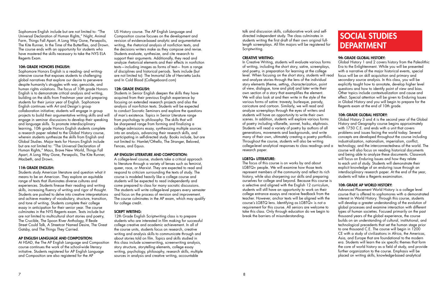Sophomore English include but are not limited to: "The Universal Declaration of Human Rights," Night, Animal Farm, Things Fall Apart, A Long Way Gone, Persepolis, The Kite Runner, In the Time of the Butterflies, and Drown. The course ends with an opportunity for students who have mastered the skills necessary to take the NYS ELA Regents Exam.

## 10th GRADE HONORS ENGLISH:

Sophomore Honors English is a reading- and writingintensive course that exposes students to challenging global narratives that explore our desire to persevere despite humanity's struggles with war, genocide, and human rights violations. The focus of 10th grade Honors English is to demonstrate critical analysis and writing, building on the skills from Freshman year and preparing students for their junior year of English. Sophomore English continues with Art and Design's group collaboration initiative; students will engage in group projects to build their argumentative writing skills and will engage in seminar discussions to develop their speaking and language skills. To promote interdisciplinary learning, 10th grade Honors English students complete a research paper related to the Global History course, wherein students synthesize the skills from English and Global Studies. Major texts for Honors English include but are not limited to: "The Universal Declaration of Human Rights," Maus, Brave New World, Things Fall Apart, A Long Way Gone, Persepolis, The Kite Runner, Macbeth, and Drown.

## 11th GRADE ENGLISH:

Students study American literature and question what it means to be an American. They explore an equitable range of texts that illuminates diverse cultures and experiences. Students finesse their reading and writing skills, increasing fluency of writing and rigor of thought. Students are pushed to delve into creative interpretations and achieve mastery of vocabulary, structure, transition, and tone of writing. Students complete their college essay in anticipation for their senior year. The course culminates in the NYS Regents exam. Texts include but are not limited to multicultural short stories and poetry, The Crucible, The Spoon River Anthology, If Beale Street Could Talk, A Streetcar Named Desire, The Great Gatsby, and The Things They Carried.

## AP ENGLISH LANGUAGE AND COMPOSITION:

At HSAD, the The AP English Language and Composition course continues the work of the school-wide literacy initiative. Students registered for AP English Language and Composition are also registered for the AP

12th Grade English Scriptwriting class is to prepare students who are interested in film making for successful college creative and academic achievement. In all of the course units, students focus on research, creative writing and analysis skills to communicate through and about stories told on film. Topics and skills studied in this class include screenwriting, screenwriting analysis, story structure, storytelling elements, college essay writing, psychology, philosophy, research skills, multiple sources in analysis and creative writing, accountable

talk and discussion skills, collaborative work and selfdirected independent study. The class culminates in students writing the first draft of their own original fulllength screenplays. All film majors will be registered for Scriptwriting.

US History course. The AP English Language and Composition course focuses on the development and revision of evidence-based analytic and argumentative writing, the rhetorical analysis of nonfiction texts, and the decisions writers make as they compose and revise. Students evaluate, synthesize, and cite research to support their arguments. Additionally, they read and analyze rhetorical elements and their effects in nonfiction texts—including images as forms of text— from a range of disciplines and historical periods. Texts include (but are not limited to): The Immortal Life of Henrietta Lacks and In Cold Blood (Collegeboard.com)

### 12th GRADE ENGLISH:

Students in Senior English deepen the skills they have acquired from their previous English experience by focusing on extended research projects and also the analysis of non-fiction texts. Students will be expected to conduct Socratic Seminars and explore the questions of man's existence. Topics in Senior Literature range from psychology to philosophy. The skills that will be sharpened range from forming and finalizing a college admissions essay, synthesizing multiple sources into an analysis, advancing their research skills, and participating in self-directed study. Books include, but are not limited to: Hamlet/Othello, The Stranger, Beloved, Fences, and Equus.

> $LGBTQ+$  people. We will examine how those texts represent members of the community and reflect its rich history, while also sharpening our skills and preparing ourselves for college and beyond. Because this course is a selective and aligned with the English 12 curriculum, students will still have an opportunity to work on their college entrance essays and receive feedback from the teacher. However, anchor texts will be aligned with the course's LGBTQ lens. Identifying as LGBTQ+ is not a requirement for this course. All seniors are welcome to take this class. Only through education do we begin to break the barriers of misunderstanding.

### AP ENGLISH LITERATURE AND COMPOSITION:

A college-level course, students take a critical approach to literature through a variety of lenses such as feminist, queer, race, or Marxist. They are expected to read and respond to criticism surrounding the texts of study. The course is modeled heavily like a college course and students will be expected to read independently and come prepared to class for many socratic discussions. The students will write college-level papers every semester and focus on the process of revision and improvement. The course culminates in the AP exam, which may qualify for college credit.

### SCRIPT WRITING:

### CREATIVE WRITING:

In Creative Writing, students will evaluate various forms of writing, including the short story, satire, screenplays, and poetry, in preparation for learning at the college level. When focusing on the short story, students will read and analyze stories through the lens of the individual story elements (theme, setting, characterization, point of view, dialogue, tone and plot) and later write their own section of a story that exemplifies the element. We will also look at and then write in the style of the various forms of satire: travesty, burlesque, parody, caricature and cartoon. Similarly, we will read and analyze screenplays through the eyes of writers and students will have an opportunity to write their own scenes. In addition, students will explore various forms of poetry including villanelle, sonnet, haiku, ekphrasis. Students will read a variety of poetry by authors of all generations, movements and backgrounds, and write many of their own, ultimately creating a poetry portfolio. Throughout the course, students will also be writing college-level analytical responses to class readings and a research paper. LGBTQ+ LITERATURE: The focus of this course is on works by and about Global History 1 and 2 covers history from the Paleolithic Era to the Enlightenment. While you will be presented with a narrative of the major historical events, special focus will be on skill acquisition and primary and secondary source analysis. In this class, you will be explicitly taught how to annotate, develop higher level questions and how to identify point of view and bias. Other topics include contextualization and cause and effect. Special attention will be given to Enduring Issues in Global History and you will begin to prepare for the Regents exam at the end of 10th grade. 10th GRADE GLOBAL HISTORY: Global History 3 and 4 is the second year of the Global History and Geography course begins approximately with 1750 C.E. and ends with a unit that covers problems and issues facing the world today. Several concepts are developed throughout the course including industrialization, nationalism, imperialism, conflict, technology, and the interconnectedness of the world. The course will also focus on reading historical documents and being able to analyze these documents. Classwork will focus on Enduring Issues and how they relate to each unit of study. Students will demonstrate their explicit knowledge of an enduring issue through an interdisciplinary research paper. At the end of the year, students will take a Regents examination.

### 9th GRADE GLOBAL HISTORY:

## 10th GRADE AP WORLD HISTORY:

Advanced Placement World History is a college level course that is offered to sophomores with a demonstrated interest in World History. Through this course, students will develop a greater understanding of the evolution of global processes and examine interaction with different types of human societies. Focused primarily on the past thousand years of the global experience, the course builds on an understanding of cultural, institutional, and technological precedents that set the human stage prior to one thousand C.E. The course will begin in 1200 CE with a study of civilizations in Africa, the Americas, Asia, and Europe that are foundational to the modern era. Students will learn the six specific themes that form the core of world history as a field of study, and provide further organization to the course. Emphasis will be placed on writing skills, knowledge-based analytical

# SOCIAL STUDIES DEPARTMENT

8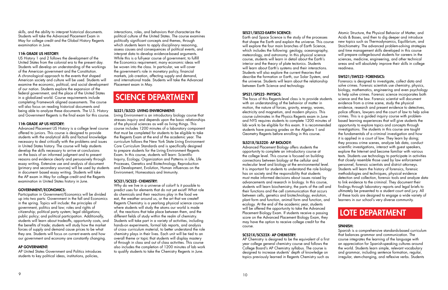skills, and the ability to interpret historical documents. Students will take the Advanced Placement Exam in May for college credit and the Global History Regents examination in June.

### 11th GRADE US HISTORY:

US History 1 and 2 follows the development of the United States from the colonial era to the present day. Students will develop an understanding of the workings of the American government and the Constitution. A chronological approach to the events that shaped American society and culture will be used. Students will examine the economic, political, and social development of our nation. Students explore the expansion of the federal government, and the place of the United States in a globalized world. Course requirements include completing Framework aligned assessments. The course will also focus on reading historical documents and being able to analyze these documents. The U.S. History and Government Regents is the final exam for this course.

### 11th GRADE AP US HISTORY:

Advanced Placement US History is a college level course offered to juniors. This course is designed to provide students with the analytical skills and factual knowledge necessary to deal critically with the problems and issues in United States history. The course will help students develop the skills necessary to arrive at conclusions on the basis of an informed judgment and to present reasons and evidence clearly and persuasively through essay writing. Extensive use and analysis of document (primary and secondary sources) will be used by students in document- based essay writing. Students will take the AP exam in May for college credit and the Regents examination in United States history in June.

### GOVERNMENT/ECONOMICS:

Participation in Government/Economics will be divided up into two parts: Government in the fall and Economics in the spring. Topics will include: the principles of government, politics and law; roles and rights of citizenship; political party system; legal obligations; public policy; and political participation. Additionally, students will learn about tradeoffs, opportunity costs, and the benefits of trade; students will study how the market forces of supply and demand cause prices to be what they are. Students will focus on current events and how our government and economy are constantly changing.

### AP GOVERNMENT:

AP United States Government and Politics introduces students to key political ideas, institutions, policies,

interactions, roles, and behaviors that characterize the political culture of the United States. The course examines politically significant concepts and themes, through which students learn to apply disciplinary reasoning, assess causes and consequences of political events, and interpret data to develop evidence-based arguments. While this is a full-year course of government, to fulfill the Economics requirement, many economic ideas will be woven into the class. In particular, we will cover the government's role in monetary policy, financial markets, job creation, affecting supply and demand, and international trade. Students will take the Advanced Placement exam in May.

### SLS21/SLS22- LIVING ENVIRONMENT:

Living Environment is an introductory biology course that stresses inquiry and depends upon the basic relationships of the physical sciences as well as living things. This course includes 1200 minutes of a laboratory component that must be completed for students to be eligible to take the Regents Exam at the end of the academic year. The curriculum follows the New York State Living Environment Core Curriculum Standards and is specifically designed to prepare students for the Living Environment Regents Exam. In this course, students will learn: Scientific Inquiry, Ecology, Organization and Patterns in Life, Life Processes, Genetics and Biotechnology, Reproduction and Development, Evolution, Human influences on the Environment, Homeostasis and Immunity.

### SCS21/SCS22- CHEMISTRY:

Why do we live in a universe of color? Is it possible to predict uses for elements that do not yet exist? What role do chemicals and their reactions play in the food we eat, the weather around us, or the art that we create? Regents Chemistry is a yearlong physical science course where students will study the atoms our world is made of, the reactions that take place between them, and the different fields of study within the realm of chemistry. Students will take part in a variety of activities, including hands-on experiments, formal lab reports, and analysis of cross- curriculum material, to better understand the role chemistry plays in their lives. Each unit will be tied to an overall theme or topic that students will display mastery of through in class and out of class activities. This course also includes the completion of 1200 minutes of lab work to qualify students to take the Chemistry Regents in June.

# SCIENCE DEPARTMENT

### SES21/SES22-EARTH SCIENCE:

Earth and Space Science is the study of the processes that shape the Earth and explain the universe. This course will explore the four main branches of Earth Science, which includes the following: geology, oceanography, meteorology, and astronomy. In this physical science course, students will learn in detail about the Earth's interior and the theory of plate tectonics. Students will learn about Earth's systems and their interactions. Students will also explore the current theories that describe the formation or Earth, our Solar System, and the universe. Students will learn about the relationship Atomic Structure, the Physical Behavior of Matter, and Acids & Bases, and then to dig deeper and introduce new topics such as Thermodynamics, Equilibrium, and Stoichiometry. The advanced problem-solving strategies and time management skills developed in this course will prepare college-bound students for careers in the sciences, medicine, engineering, and other technical areas and will absolutely improve their skills in college readiness. SWS21/SWS22- FORENSICS: Forensics is designed to investigate, collect data and solve crimes. Forensic scientists use chemistry, physics,

### SCS21X/SCS22X- AP CHEMISTRY:

AP Chemistry is designed to be the equivalent of a first year college general chemistry course and follows the College Board's AP Chemistry syllabus. The course is designed to increase students' depth of knowledge on topics previously learned in Regents Chemistry such as

between Earth Science and technology. SPS21/SPS22- PHYSICS: The focus of this Regents-level class is to provide students with an understanding of the behavior of matter in motion, the nature of forces, gravity, energy, waves, electricity and magnetism, and modern physics. This course culminates in the Physics Regents exam in June and NYS requires students to complete 1200 minutes of lab work to be eligible for this exam. It is recommended students have passing grades on the Algebra 1 and Geometry Regents before enrolling in this course. SLS21X/SLS22X- AP BIOLOGY: Advanced Placement Biology offers students the opportunity to complete an introductory course at the college level. This course is focused on building connections between biology at the cellular and molecular level and biology at the environmental level. It is important for students to understand the role biology has on society and the responsibility that students must make informed decisions about issues raised by advancements and research in biology. In this course, students will learn biochemistry, the parts of the cell and their functions and the cell communication that occurs between cells, genetics and biotechnology, evolution, plant form and function, animal form and function, and biology, mathematics, engineering and even psychology to help solve crimes. Forensic science incorporates both science and the law. Forensic scientist will document evidence from a crime scene, study the physical evidence, research and present evidence to detectives, police officers, lawyers and the court of law to help solve crimes. This is a guided inquiry course with problembased learning experiences that will give students the opportunity to explore topics and concepts through investigations. The students in this course are taught the fundamentals of a criminal investigation and how it is applied in a court of law. They learn by doing; they process crime scenes, analyze lab data, conduct scientific investigations, interact with guest speakers, explore the Internet and become familiar with various texts. Students use technology to participate in activities that closely resemble those used by law enforcement personnel, forensic scientists and district attorneys. Students will learn the history of forensics, forensic methodologies and techniques, physical evidence detection and collection, forensic tools and analyze data to link evidence to the criminal. They document their findings through laboratory reports and legal briefs to ultimately be presented to a student court and jury. All of these tools are designed to engage a wide variety of learners in our school's very diverse community.

ecology. At the end of the academic year, students will be offered the opportunity to take the Advanced Placement Biology Exam. If students receive a passing score on the Advanced Placement Biology Exam, they may have the option to receive college credit for the course. SPANISH: LOTE DEPARTMENT

Spanish is a comprehensive standards-based curriculum that balances grammar and communication. The course integrates the learning of the language with an appreciation for Spanish-speaking cultures around the world. Students learn simple, relevant vocabulary and grammar, including sentence formation, regular, irregular, stem-changing, and reflexive verbs. Students